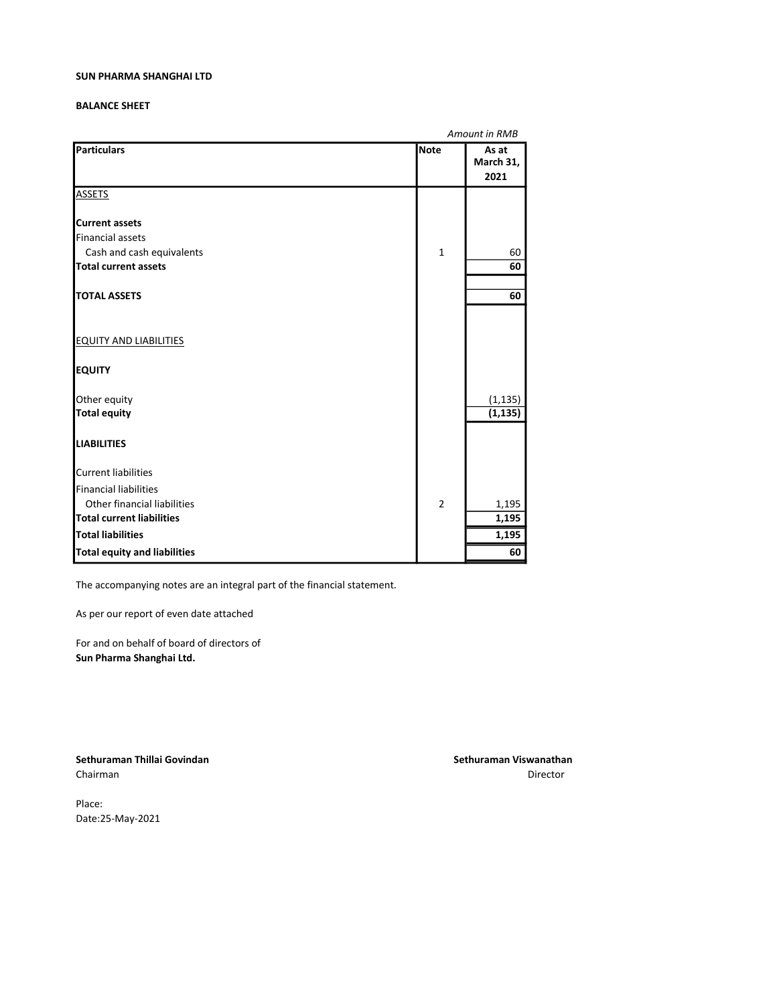### BALANCE SHEET

|                                                      |                | Amount in RMB              |
|------------------------------------------------------|----------------|----------------------------|
| Particulars                                          | <b>Note</b>    | As at<br>March 31,<br>2021 |
| <b>ASSETS</b>                                        |                |                            |
| <b>I</b> Current assets                              |                |                            |
| Financial assets                                     |                |                            |
| Cash and cash equivalents                            | $\mathbf{1}$   | 60                         |
| Total current assets                                 |                | 60                         |
| <b>TOTAL ASSETS</b>                                  |                | 60                         |
|                                                      |                |                            |
| <b>EQUITY AND LIABILITIES</b>                        |                |                            |
| <b> </b> ΕQUITY                                      |                |                            |
| Other equity                                         |                | (1, 135)                   |
| <b>Total equity</b>                                  |                | (1, 135)                   |
| <b>LIABILITIES</b>                                   |                |                            |
| Current liabilities                                  |                |                            |
| Financial liabilities<br>Other financial liabilities |                |                            |
| <b>Total current liabilities</b>                     | $\overline{2}$ | 1,195<br>1,195             |
|                                                      |                |                            |
| <b>Total liabilities</b>                             |                | 1,195                      |
| Total equity and liabilities                         |                | 60                         |

The accompanying notes are an integral part of the financial statement.

As per our report of even date attached

For and on behalf of board of directors of Sun Pharma Shanghai Ltd.

Sethuraman Thillai Govindan Sethuraman Viswanathan Sethuraman Viswanathan Chairman Director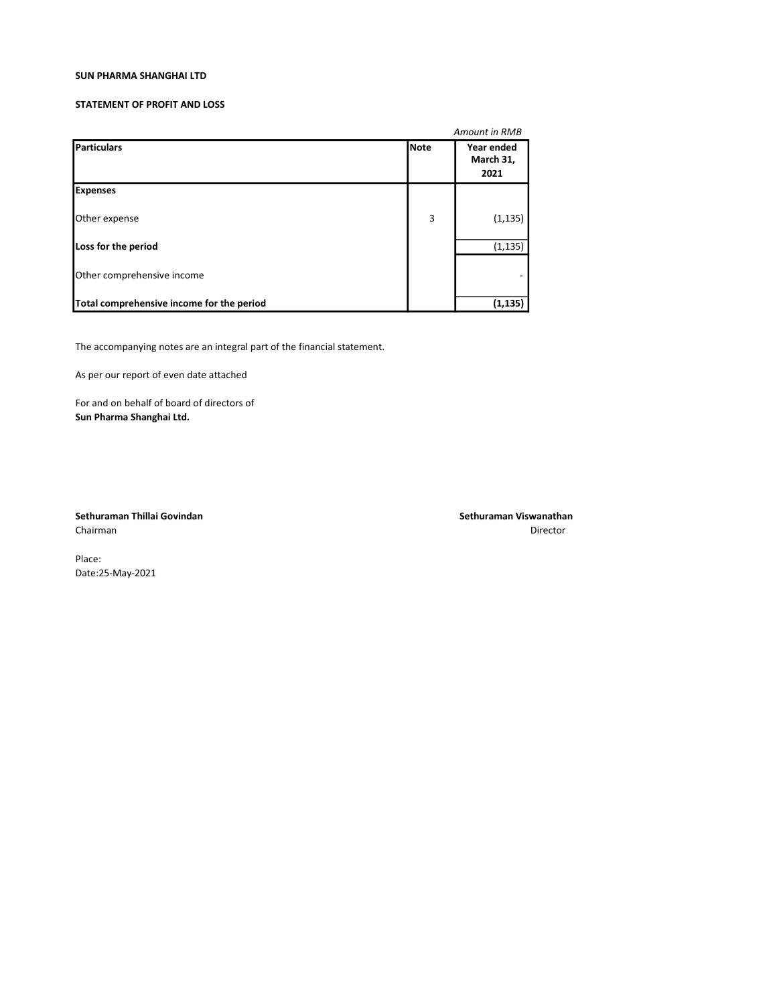### STATEMENT OF PROFIT AND LOSS

|                                           |             | Amount in RMB                   |  |
|-------------------------------------------|-------------|---------------------------------|--|
| Particulars                               | <b>Note</b> | Year ended<br>March 31,<br>2021 |  |
| <b>Expenses</b>                           |             |                                 |  |
| Other expense                             | 3           | (1, 135)                        |  |
| Loss for the period                       |             | (1, 135)                        |  |
| Other comprehensive income                |             |                                 |  |
| Total comprehensive income for the period |             | (1, 135)                        |  |

The accompanying notes are an integral part of the financial statement.

As per our report of even date attached

For and on behalf of board of directors of Sun Pharma Shanghai Ltd.

Sethuraman Thillai Govindan Sethuraman Viswanathan Sethuraman Viswanathan Sethuraman Viswanathan Chairman Director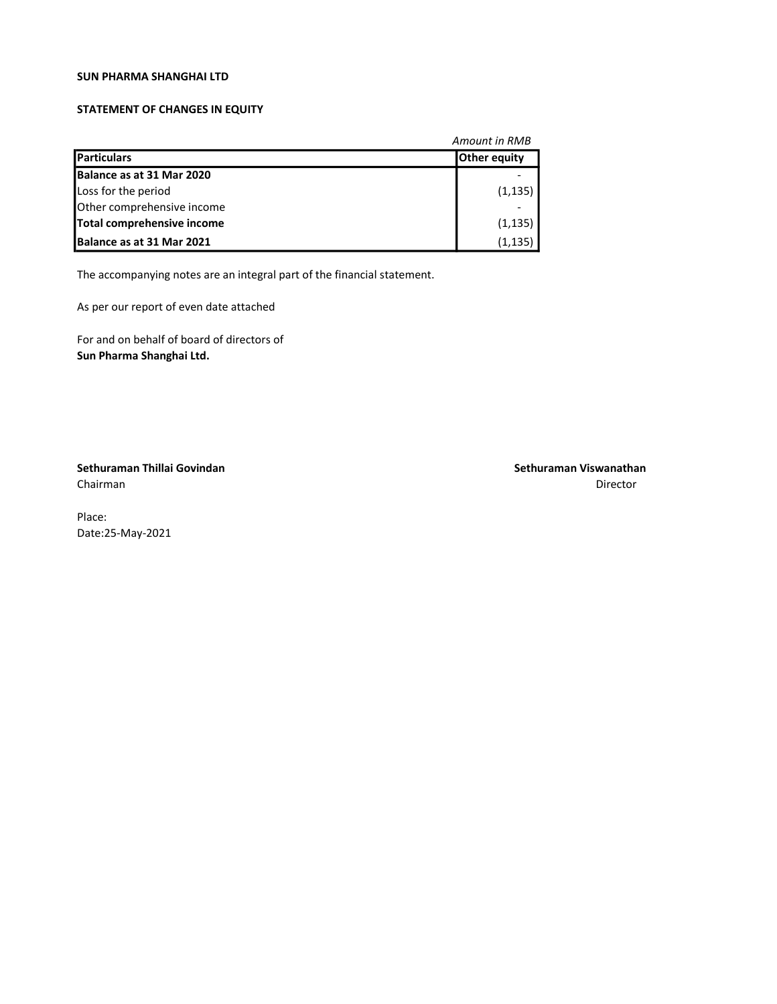### STATEMENT OF CHANGES IN EQUITY

| <b>Amount in RMB</b>              |                     |  |
|-----------------------------------|---------------------|--|
| <b>Particulars</b>                | <b>Other equity</b> |  |
| Balance as at 31 Mar 2020         |                     |  |
| Loss for the period               | (1, 135)            |  |
| Other comprehensive income        |                     |  |
| Total comprehensive income        | (1, 135)            |  |
| <b>IBalance as at 31 Mar 2021</b> | (1, 135)            |  |

The accompanying notes are an integral part of the financial statement.

As per our report of even date attached

For and on behalf of board of directors of Sun Pharma Shanghai Ltd.

Sethuraman Thillai Govindan Sethuraman Viswanathan Chairman Director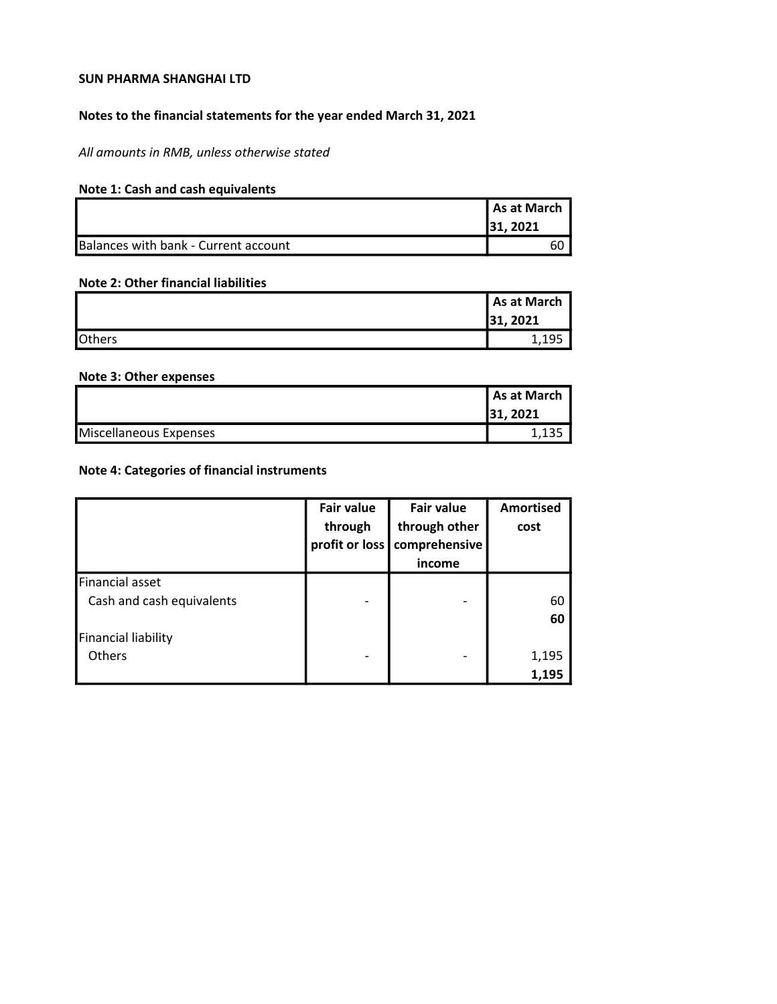## Notes to the financial statements for the year ended March 31, 2021

All amounts in RMB, unless otherwise stated

# Note 1: Cash and cash equivalents

|                                      | As at March |
|--------------------------------------|-------------|
|                                      | 131.2021    |
| Balances with bank - Current account | 60          |

### Note 2: Other financial liabilities

|               | As at March |
|---------------|-------------|
|               | 31, 2021    |
| <b>Others</b> | 1,195       |

### Note 3: Other expenses

|                        | l As at March |
|------------------------|---------------|
|                        | 31, 2021      |
| Miscellaneous Expenses |               |

# Note 4: Categories of financial instruments

|                                                                            | <b>Fair value</b><br>through<br>profit or loss | <b>Fair value</b><br>through other<br>comprehensive<br>income | <b>Amortised</b><br>cost |
|----------------------------------------------------------------------------|------------------------------------------------|---------------------------------------------------------------|--------------------------|
| Financial asset<br>Cash and cash equivalents<br><b>Financial liability</b> |                                                |                                                               | 60<br>60                 |
| Others                                                                     |                                                |                                                               | 1,195<br>1,195           |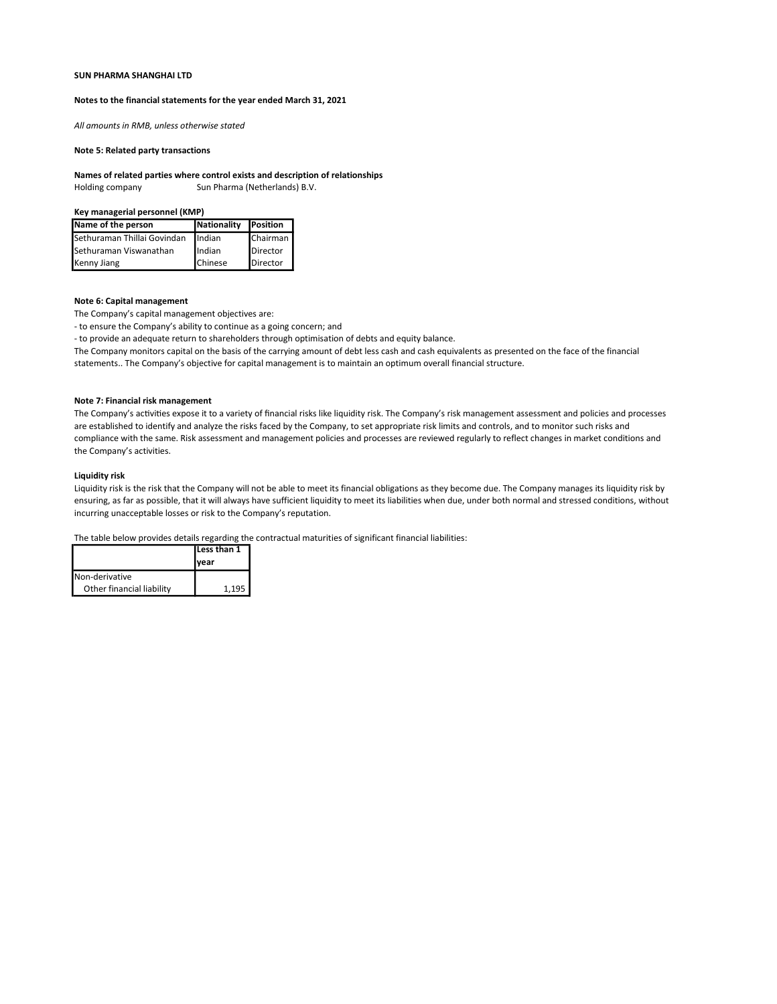#### Notes to the financial statements for the year ended March 31, 2021

All amounts in RMB, unless otherwise stated

#### Note 5: Related party transactions

#### Names of related parties where control exists and description of relationships

Holding company Sun Pharma (Netherlands) B.V.

#### Key managerial personnel (KMP)

| Name of the person          | Nationality Position |          |
|-----------------------------|----------------------|----------|
| Sethuraman Thillai Govindan | Indian               | Chairman |
| Sethuraman Viswanathan      | Indian               | Director |
| Kenny Jiang                 | <b>Chinese</b>       | Director |

### Note 6: Capital management

The Company's capital management objectives are:

- to ensure the Company's ability to continue as a going concern; and

- to provide an adequate return to shareholders through optimisation of debts and equity balance.

The Company monitors capital on the basis of the carrying amount of debt less cash and cash equivalents as presented on the face of the financial statements.. The Company's objective for capital management is to maintain an optimum overall financial structure.

#### Note 7: Financial risk management

The Company's activities expose it to a variety of financial risks like liquidity risk. The Company's risk management assessment and policies and processes are established to identify and analyze the risks faced by the Company, to set appropriate risk limits and controls, and to monitor such risks and compliance with the same. Risk assessment and management policies and processes are reviewed regularly to reflect changes in market conditions and the Company's activities.

### Liquidity risk

Liquidity risk is the risk that the Company will not be able to meet its financial obligations as they become due. The Company manages its liquidity risk by ensuring, as far as possible, that it will always have sufficient liquidity to meet its liabilities when due, under both normal and stressed conditions, without incurring unacceptable losses or risk to the Company's reputation.

The table below provides details regarding the contractual maturities of significant financial liabilities:

|                           | Less than 1 |  |
|---------------------------|-------------|--|
|                           | Ivear       |  |
| Non-derivative            |             |  |
| Other financial liability | 1.195       |  |